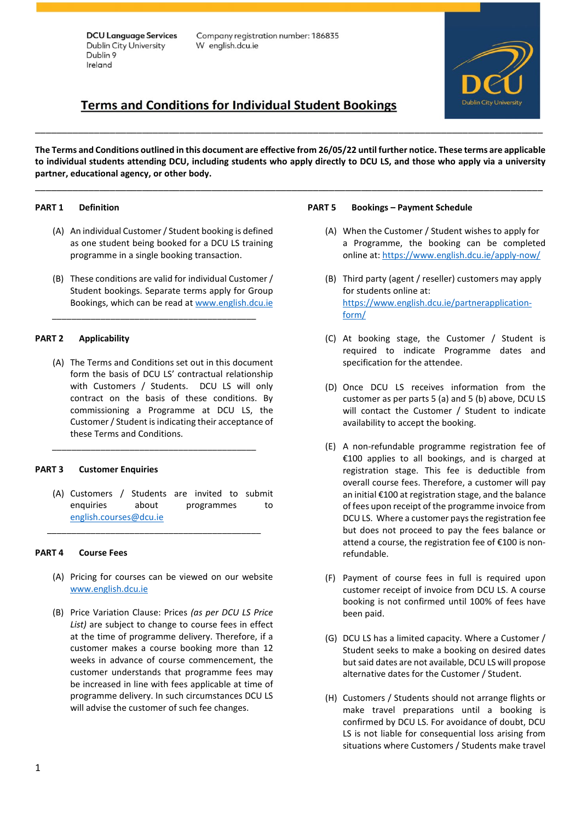Company registration number: 186835 W english.dcu.ie

# **Terms and Conditions for Individual Student Bookings**

**The Terms and Conditions outlined in this document are effective from 26/05/22 until further notice. These terms are applicable to individual students attending DCU, including students who apply directly to DCU LS, and those who apply via a university partner, educational agency, or other body.**

\_\_\_\_\_\_\_\_\_\_\_\_\_\_\_\_\_\_\_\_\_\_\_\_\_\_\_\_\_\_\_\_\_\_\_\_\_\_\_\_\_\_\_\_\_\_\_\_\_\_\_\_\_\_\_\_\_\_\_\_\_\_\_\_\_\_\_\_\_\_\_\_\_\_\_\_\_\_\_\_\_\_\_\_\_\_\_\_\_\_\_\_\_\_\_

\_\_\_\_\_\_\_\_\_\_\_\_\_\_\_\_\_\_\_\_\_\_\_\_\_\_\_\_\_\_\_\_\_\_\_\_\_\_\_\_\_\_\_\_\_\_\_\_\_\_\_\_\_\_\_\_\_\_\_\_\_\_\_\_\_\_\_\_\_\_\_\_\_\_\_\_\_\_\_\_\_\_\_\_\_\_\_\_\_\_\_\_\_\_\_

#### **PART 1 Definition**

- (A) An individual Customer / Student booking is defined as one student being booked for a DCU LS training programme in a single booking transaction.
- (B) These conditions are valid for individual Customer / Student bookings. Separate terms apply for Group Bookings, which can be read at [www.english.dcu.ie](http://www.english.dcu.ie/)

\_\_\_\_\_\_\_\_\_\_\_\_\_\_\_\_\_\_\_\_\_\_\_\_\_\_\_\_\_\_\_\_\_\_\_\_\_\_\_\_\_\_

#### **PART 2 Applicability**

(A) The Terms and Conditions set out in this document form the basis of DCU LS' contractual relationship with Customers / Students. DCU LS will only contract on the basis of these conditions. By commissioning a Programme at DCU LS, the Customer / Student is indicating their acceptance of these Terms and Conditions.

\_\_\_\_\_\_\_\_\_\_\_\_\_\_\_\_\_\_\_\_\_\_\_\_\_\_\_\_\_\_\_\_\_\_\_\_\_\_\_\_\_\_

#### **PART 3 Customer Enquiries**

(A) Customers / Students are invited to submit enquiries about programmes to [english.courses@dcu.ie](mailto:english.courses@dcu.ie) 

\_\_\_\_\_\_\_\_\_\_\_\_\_\_\_\_\_\_\_\_\_\_\_\_\_\_\_\_\_\_\_\_\_\_\_\_\_\_\_\_\_\_\_\_

#### **PART 4 Course Fees**

- (A) Pricing for courses can be viewed on our website [www.english.dcu.ie](http://www.english.dcu.ie/)
- (B) Price Variation Clause: Prices *(as per DCU LS Price List)* are subject to change to course fees in effect at the time of programme delivery. Therefore, if a customer makes a course booking more than 12 weeks in advance of course commencement, the customer understands that programme fees may be increased in line with fees applicable at time of programme delivery. In such circumstances DCU LS will advise the customer of such fee changes.

#### **PART 5 Bookings – Payment Schedule**

- (A) When the Customer / Student wishes to apply for a Programme, the booking can be completed online at: <https://www.english.dcu.ie/apply-now/>
- (B) Third party (agent / reseller) customers may apply for students online at: [https://www.english.dcu.ie/partnerapplication](https://www.english.dcu.ie/partnerapplication-form/)[form/](https://www.english.dcu.ie/partnerapplication-form/)
- (C) At booking stage, the Customer / Student is required to indicate Programme dates and specification for the attendee.
- (D) Once DCU LS receives information from the customer as per parts 5 (a) and 5 (b) above, DCU LS will contact the Customer / Student to indicate availability to accept the booking.
- (E) A non-refundable programme registration fee of €100 applies to all bookings, and is charged at registration stage. This fee is deductible from overall course fees. Therefore, a customer will pay an initial €100 at registration stage, and the balance of fees upon receipt of the programme invoice from DCU LS. Where a customer pays the registration fee but does not proceed to pay the fees balance or attend a course, the registration fee of €100 is nonrefundable.
- (F) Payment of course fees in full is required upon customer receipt of invoice from DCU LS. A course booking is not confirmed until 100% of fees have been paid.
- (G) DCU LS has a limited capacity. Where a Customer / Student seeks to make a booking on desired dates but said dates are not available, DCU LS will propose alternative dates for the Customer / Student.
- (H) Customers / Students should not arrange flights or make travel preparations until a booking is confirmed by DCU LS. For avoidance of doubt, DCU LS is not liable for consequential loss arising from situations where Customers / Students make travel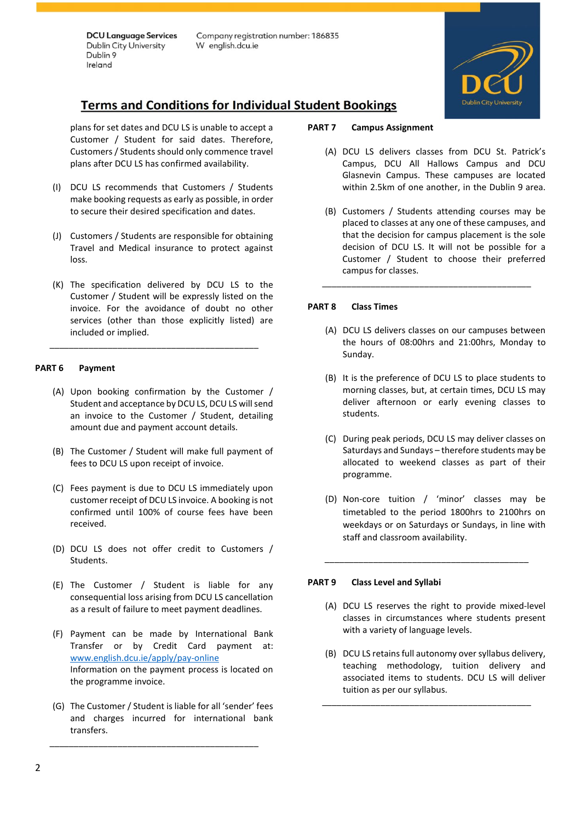Company registration number: 186835 W english.dcu.ie



# **Terms and Conditions for Individual Student Bookings**

plans for set dates and DCU LS is unable to accept a Customer / Student for said dates. Therefore, Customers / Students should only commence travel plans after DCU LS has confirmed availability.

- (I) DCU LS recommends that Customers / Students make booking requests as early as possible, in order to secure their desired specification and dates.
- (J) Customers / Students are responsible for obtaining Travel and Medical insurance to protect against loss.
- (K) The specification delivered by DCU LS to the Customer / Student will be expressly listed on the invoice. For the avoidance of doubt no other services (other than those explicitly listed) are included or implied.

\_\_\_\_\_\_\_\_\_\_\_\_\_\_\_\_\_\_\_\_\_\_\_\_\_\_\_\_\_\_\_\_\_\_\_\_\_\_\_\_\_\_\_

# **PART 6 Payment**

- (A) Upon booking confirmation by the Customer / Student and acceptance by DCU LS, DCU LS will send an invoice to the Customer / Student, detailing amount due and payment account details.
- (B) The Customer / Student will make full payment of fees to DCU LS upon receipt of invoice.
- (C) Fees payment is due to DCU LS immediately upon customer receipt of DCU LS invoice. A booking is not confirmed until 100% of course fees have been received.
- (D) DCU LS does not offer credit to Customers / Students.
- (E) The Customer / Student is liable for any consequential loss arising from DCU LS cancellation as a result of failure to meet payment deadlines.
- (F) Payment can be made by International Bank Transfer or by Credit Card payment at: www.english.dcu.ie/apply/pay-online Information on the payment process is located on the programme invoice.
- (G) The Customer / Student is liable for all 'sender' fees and charges incurred for international bank transfers.

\_\_\_\_\_\_\_\_\_\_\_\_\_\_\_\_\_\_\_\_\_\_\_\_\_\_\_\_\_\_\_\_\_\_\_\_\_\_\_\_\_\_\_

#### **PART 7 Campus Assignment**

- (A) DCU LS delivers classes from DCU St. Patrick's Campus, DCU All Hallows Campus and DCU Glasnevin Campus. These campuses are located within 2.5km of one another, in the Dublin 9 area.
- (B) Customers / Students attending courses may be placed to classes at any one of these campuses, and that the decision for campus placement is the sole decision of DCU LS. It will not be possible for a Customer / Student to choose their preferred campus for classes.

\_\_\_\_\_\_\_\_\_\_\_\_\_\_\_\_\_\_\_\_\_\_\_\_\_\_\_\_\_\_\_\_\_\_\_\_\_\_\_\_\_\_\_

#### **PART 8 Class Times**

- (A) DCU LS delivers classes on our campuses between the hours of 08:00hrs and 21:00hrs, Monday to Sunday.
- (B) It is the preference of DCU LS to place students to morning classes, but, at certain times, DCU LS may deliver afternoon or early evening classes to students.
- (C) During peak periods, DCU LS may deliver classes on Saturdays and Sundays – therefore students may be allocated to weekend classes as part of their programme.
- (D) Non-core tuition / 'minor' classes may be timetabled to the period 1800hrs to 2100hrs on weekdays or on Saturdays or Sundays, in line with staff and classroom availability.

\_\_\_\_\_\_\_\_\_\_\_\_\_\_\_\_\_\_\_\_\_\_\_\_\_\_\_\_\_\_\_\_\_\_\_\_\_\_\_\_\_\_

#### **PART 9 Class Level and Syllabi**

- (A) DCU LS reserves the right to provide mixed-level classes in circumstances where students present with a variety of language levels.
- (B) DCU LS retains full autonomy over syllabus delivery, teaching methodology, tuition delivery and associated items to students. DCU LS will deliver tuition as per our syllabus.

\_\_\_\_\_\_\_\_\_\_\_\_\_\_\_\_\_\_\_\_\_\_\_\_\_\_\_\_\_\_\_\_\_\_\_\_\_\_\_\_\_\_\_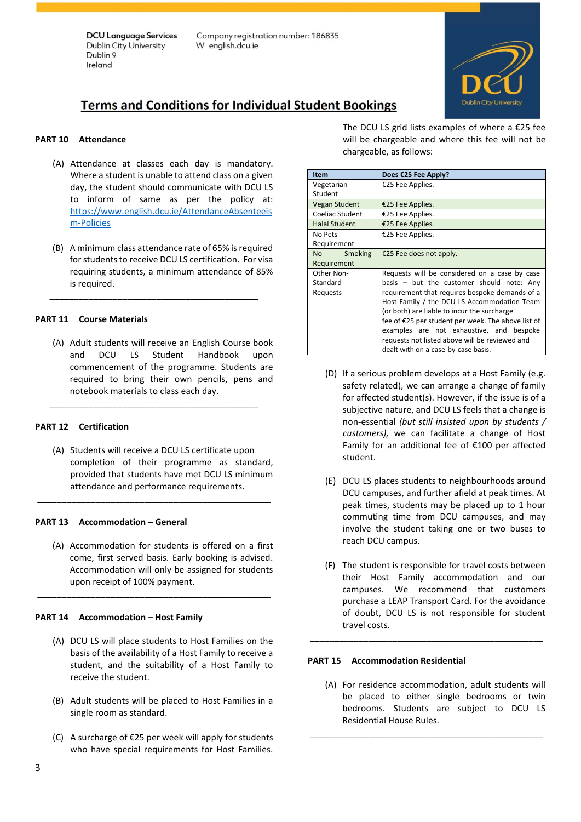Company registration number: 186835 W english.dcu.ie



# **Terms and Conditions for Individual Student Bookings**

### **PART 10 Attendance**

- (A) Attendance at classes each day is mandatory. Where a student is unable to attend class on a given day, the student should communicate with DCU LS to inform of same as per the policy at: [https://www.english.dcu.ie/AttendanceAbsenteeis](https://www.english.dcu.ie/AttendanceAbsenteeism-Policies) [m-Policies](https://www.english.dcu.ie/AttendanceAbsenteeism-Policies)
- (B) A minimum class attendance rate of 65% is required for students to receive DCU LS certification. For visa requiring students, a minimum attendance of 85% is required.

\_\_\_\_\_\_\_\_\_\_\_\_\_\_\_\_\_\_\_\_\_\_\_\_\_\_\_\_\_\_\_\_\_\_\_\_\_\_\_\_\_\_\_

## **PART 11 Course Materials**

(A) Adult students will receive an English Course book and DCU LS Student Handbook upon commencement of the programme. Students are required to bring their own pencils, pens and notebook materials to class each day.

\_\_\_\_\_\_\_\_\_\_\_\_\_\_\_\_\_\_\_\_\_\_\_\_\_\_\_\_\_\_\_\_\_\_\_\_\_\_\_\_\_\_\_

#### **PART 12 Certification**

(A) Students will receive a DCU LS certificate upon completion of their programme as standard, provided that students have met DCU LS minimum attendance and performance requirements.

\_\_\_\_\_\_\_\_\_\_\_\_\_\_\_\_\_\_\_\_\_\_\_\_\_\_\_\_\_\_\_\_\_\_\_\_\_\_\_\_\_\_\_\_\_\_\_\_

#### **PART 13 Accommodation – General**

(A) Accommodation for students is offered on a first come, first served basis. Early booking is advised. Accommodation will only be assigned for students upon receipt of 100% payment.

\_\_\_\_\_\_\_\_\_\_\_\_\_\_\_\_\_\_\_\_\_\_\_\_\_\_\_\_\_\_\_\_\_\_\_\_\_\_\_\_\_\_\_\_\_\_\_\_

#### **PART 14 Accommodation – Host Family**

- (A) DCU LS will place students to Host Families on the basis of the availability of a Host Family to receive a student, and the suitability of a Host Family to receive the student.
- (B) Adult students will be placed to Host Families in a single room as standard.
- (C) A surcharge of €25 per week will apply for students who have special requirements for Host Families.

The DCU LS grid lists examples of where a  $\epsilon$ 25 fee will be chargeable and where this fee will not be chargeable, as follows:

| <b>Item</b>            | Does €25 Fee Apply?                                |
|------------------------|----------------------------------------------------|
| Vegetarian             | €25 Fee Applies.                                   |
| Student                |                                                    |
| <b>Vegan Student</b>   | €25 Fee Applies.                                   |
| Coeliac Student        | €25 Fee Applies.                                   |
| <b>Halal Student</b>   | €25 Fee Applies.                                   |
| No Pets                | €25 Fee Applies.                                   |
| Requirement            |                                                    |
| No l<br><b>Smoking</b> | €25 Fee does not apply.                            |
| Requirement            |                                                    |
| Other Non-             | Requests will be considered on a case by case      |
| Standard               | basis - but the customer should note: Any          |
| Requests               | requirement that requires bespoke demands of a     |
|                        | Host Family / the DCU LS Accommodation Team        |
|                        | (or both) are liable to incur the surcharge        |
|                        | fee of €25 per student per week. The above list of |
|                        | examples are not exhaustive, and bespoke           |
|                        | requests not listed above will be reviewed and     |
|                        | dealt with on a case-by-case basis.                |

- (D) If a serious problem develops at a Host Family (e.g. safety related), we can arrange a change of family for affected student(s). However, if the issue is of a subjective nature, and DCU LS feels that a change is non-essential *(but still insisted upon by students / customers),* we can facilitate a change of Host Family for an additional fee of €100 per affected student.
- (E) DCU LS places students to neighbourhoods around DCU campuses, and further afield at peak times. At peak times, students may be placed up to 1 hour commuting time from DCU campuses, and may involve the student taking one or two buses to reach DCU campus.
- (F) The student is responsible for travel costs between their Host Family accommodation and our campuses. We recommend that customers purchase a LEAP Transport Card. For the avoidance of doubt, DCU LS is not responsible for student travel costs.

\_\_\_\_\_\_\_\_\_\_\_\_\_\_\_\_\_\_\_\_\_\_\_\_\_\_\_\_\_\_\_\_\_\_\_\_\_\_\_\_\_\_\_\_\_\_\_\_

#### **PART 15 Accommodation Residential**

(A) For residence accommodation, adult students will be placed to either single bedrooms or twin bedrooms. Students are subject to DCU LS Residential House Rules.

\_\_\_\_\_\_\_\_\_\_\_\_\_\_\_\_\_\_\_\_\_\_\_\_\_\_\_\_\_\_\_\_\_\_\_\_\_\_\_\_\_\_\_\_\_\_\_\_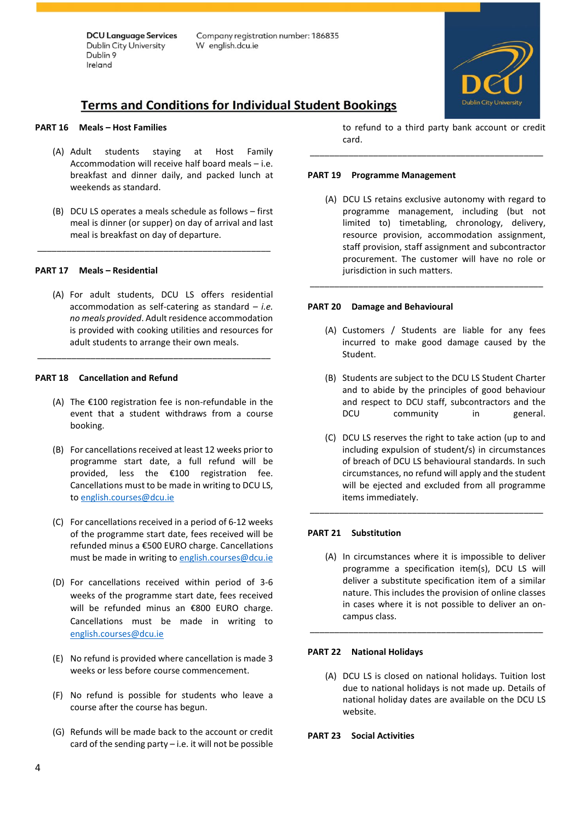Company registration number: 186835 W english.dcu.ie



# **Terms and Conditions for Individual Student Bookings**

#### **PART 16 Meals – Host Families**

- (A) Adult students staying at Host Family Accommodation will receive half board meals – i.e. breakfast and dinner daily, and packed lunch at weekends as standard.
- (B) DCU LS operates a meals schedule as follows first meal is dinner (or supper) on day of arrival and last meal is breakfast on day of departure.

\_\_\_\_\_\_\_\_\_\_\_\_\_\_\_\_\_\_\_\_\_\_\_\_\_\_\_\_\_\_\_\_\_\_\_\_\_\_\_\_\_\_\_\_\_\_\_\_

#### **PART 17 Meals – Residential**

(A) For adult students, DCU LS offers residential accommodation as self-catering as standard – *i.e. no meals provided*. Adult residence accommodation is provided with cooking utilities and resources for adult students to arrange their own meals.

\_\_\_\_\_\_\_\_\_\_\_\_\_\_\_\_\_\_\_\_\_\_\_\_\_\_\_\_\_\_\_\_\_\_\_\_\_\_\_\_\_\_\_\_\_\_\_\_

#### **PART 18 Cancellation and Refund**

- (A) The €100 registration fee is non-refundable in the event that a student withdraws from a course booking.
- (B) For cancellations received at least 12 weeks prior to programme start date, a full refund will be provided, less the €100 registration fee. Cancellations must to be made in writing to DCU LS, to [english.courses@dcu.ie](mailto:english.courses@dcu.ie)
- (C) For cancellations received in a period of 6-12 weeks of the programme start date, fees received will be refunded minus a €500 EURO charge. Cancellations must be made in writing to english.courses@dcu.ie
- (D) For cancellations received within period of 3-6 weeks of the programme start date, fees received will be refunded minus an €800 EURO charge. Cancellations must be made in writing to [english.courses@dcu.ie](mailto:english.courses@dcu.ie)
- (E) No refund is provided where cancellation is made 3 weeks or less before course commencement.
- (F) No refund is possible for students who leave a course after the course has begun.
- (G) Refunds will be made back to the account or credit card of the sending party – i.e. it will not be possible

to refund to a third party bank account or credit card.

\_\_\_\_\_\_\_\_\_\_\_\_\_\_\_\_\_\_\_\_\_\_\_\_\_\_\_\_\_\_\_\_\_\_\_\_\_\_\_\_\_\_\_\_\_\_\_\_

#### **PART 19 Programme Management**

(A) DCU LS retains exclusive autonomy with regard to programme management, including (but not limited to) timetabling, chronology, delivery, resource provision, accommodation assignment, staff provision, staff assignment and subcontractor procurement. The customer will have no role or jurisdiction in such matters.

\_\_\_\_\_\_\_\_\_\_\_\_\_\_\_\_\_\_\_\_\_\_\_\_\_\_\_\_\_\_\_\_\_\_\_\_\_\_\_\_\_\_\_\_\_\_\_\_

#### **PART 20 Damage and Behavioural**

- (A) Customers / Students are liable for any fees incurred to make good damage caused by the Student.
- (B) Students are subject to the DCU LS Student Charter and to abide by the principles of good behaviour and respect to DCU staff, subcontractors and the DCU community in general.
- (C) DCU LS reserves the right to take action (up to and including expulsion of student/s) in circumstances of breach of DCU LS behavioural standards. In such circumstances, no refund will apply and the student will be ejected and excluded from all programme items immediately.

\_\_\_\_\_\_\_\_\_\_\_\_\_\_\_\_\_\_\_\_\_\_\_\_\_\_\_\_\_\_\_\_\_\_\_\_\_\_\_\_\_\_\_\_\_\_\_\_

#### **PART 21 Substitution**

(A) In circumstances where it is impossible to deliver programme a specification item(s), DCU LS will deliver a substitute specification item of a similar nature. This includes the provision of online classes in cases where it is not possible to deliver an oncampus class.

\_\_\_\_\_\_\_\_\_\_\_\_\_\_\_\_\_\_\_\_\_\_\_\_\_\_\_\_\_\_\_\_\_\_\_\_\_\_\_\_\_\_\_\_\_\_\_\_

#### **PART 22 National Holidays**

(A) DCU LS is closed on national holidays. Tuition lost due to national holidays is not made up. Details of national holiday dates are available on the DCU LS website.

#### **PART 23 Social Activities**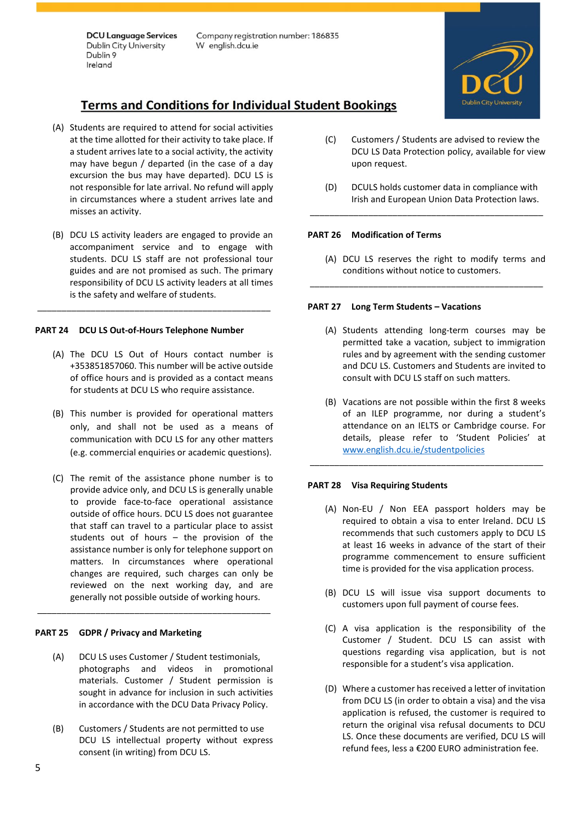Company registration number: 186835 W english.dcu.ie



# **Terms and Conditions for Individual Student Bookings**

- (A) Students are required to attend for social activities at the time allotted for their activity to take place. If a student arrives late to a social activity, the activity may have begun / departed (in the case of a day excursion the bus may have departed). DCU LS is not responsible for late arrival. No refund will apply in circumstances where a student arrives late and misses an activity.
- (B) DCU LS activity leaders are engaged to provide an accompaniment service and to engage with students. DCU LS staff are not professional tour guides and are not promised as such. The primary responsibility of DCU LS activity leaders at all times is the safety and welfare of students.

\_\_\_\_\_\_\_\_\_\_\_\_\_\_\_\_\_\_\_\_\_\_\_\_\_\_\_\_\_\_\_\_\_\_\_\_\_\_\_\_\_\_\_\_\_\_\_\_

# **PART 24 DCU LS Out-of-Hours Telephone Number**

- (A) The DCU LS Out of Hours contact number is +353851857060. This number will be active outside of office hours and is provided as a contact means for students at DCU LS who require assistance.
- (B) This number is provided for operational matters only, and shall not be used as a means of communication with DCU LS for any other matters (e.g. commercial enquiries or academic questions).
- (C) The remit of the assistance phone number is to provide advice only, and DCU LS is generally unable to provide face-to-face operational assistance outside of office hours. DCU LS does not guarantee that staff can travel to a particular place to assist students out of hours – the provision of the assistance number is only for telephone support on matters. In circumstances where operational changes are required, such charges can only be reviewed on the next working day, and are generally not possible outside of working hours.

# **PART 25 GDPR / Privacy and Marketing**

(A) DCU LS uses Customer / Student testimonials, photographs and videos in promotional materials. Customer / Student permission is sought in advance for inclusion in such activities in accordance with the DCU Data Privacy Policy.

\_\_\_\_\_\_\_\_\_\_\_\_\_\_\_\_\_\_\_\_\_\_\_\_\_\_\_\_\_\_\_\_\_\_\_\_\_\_\_\_\_\_\_\_\_\_\_\_

(B) Customers / Students are not permitted to use DCU LS intellectual property without express consent (in writing) from DCU LS.

- (C) Customers / Students are advised to review the DCU LS Data Protection policy, available for view upon request.
- (D) DCULS holds customer data in compliance with Irish and European Union Data Protection laws.

\_\_\_\_\_\_\_\_\_\_\_\_\_\_\_\_\_\_\_\_\_\_\_\_\_\_\_\_\_\_\_\_\_\_\_\_\_\_\_\_\_\_\_\_\_\_\_\_

## **PART 26 Modification of Terms**

(A) DCU LS reserves the right to modify terms and conditions without notice to customers.

\_\_\_\_\_\_\_\_\_\_\_\_\_\_\_\_\_\_\_\_\_\_\_\_\_\_\_\_\_\_\_\_\_\_\_\_\_\_\_\_\_\_\_\_\_\_\_\_

## **PART 27 Long Term Students – Vacations**

- (A) Students attending long-term courses may be permitted take a vacation, subject to immigration rules and by agreement with the sending customer and DCU LS. Customers and Students are invited to consult with DCU LS staff on such matters.
- (B) Vacations are not possible within the first 8 weeks of an ILEP programme, nor during a student's attendance on an IELTS or Cambridge course. For details, please refer to 'Student Policies' at [www.english.dcu.ie/studentpolicies](http://www.english.dcu.ie/studentpolicies)

\_\_\_\_\_\_\_\_\_\_\_\_\_\_\_\_\_\_\_\_\_\_\_\_\_\_\_\_\_\_\_\_\_\_\_\_\_\_\_\_\_\_\_\_\_\_\_\_

#### **PART 28 Visa Requiring Students**

- (A) Non-EU / Non EEA passport holders may be required to obtain a visa to enter Ireland. DCU LS recommends that such customers apply to DCU LS at least 16 weeks in advance of the start of their programme commencement to ensure sufficient time is provided for the visa application process.
- (B) DCU LS will issue visa support documents to customers upon full payment of course fees.
- (C) A visa application is the responsibility of the Customer / Student. DCU LS can assist with questions regarding visa application, but is not responsible for a student's visa application.
- (D) Where a customer has received a letter of invitation from DCU LS (in order to obtain a visa) and the visa application is refused, the customer is required to return the original visa refusal documents to DCU LS. Once these documents are verified, DCU LS will refund fees, less a €200 EURO administration fee.